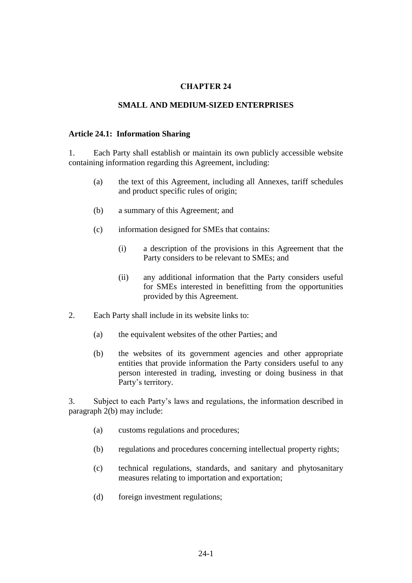# **CHAPTER 24**

### **SMALL AND MEDIUM-SIZED ENTERPRISES**

### **Article 24.1: Information Sharing**

1. Each Party shall establish or maintain its own publicly accessible website containing information regarding this Agreement, including:

- (a) the text of this Agreement, including all Annexes, tariff schedules and product specific rules of origin;
- (b) a summary of this Agreement; and
- (c) information designed for SMEs that contains:
	- (i) a description of the provisions in this Agreement that the Party considers to be relevant to SMEs; and
	- (ii) any additional information that the Party considers useful for SMEs interested in benefitting from the opportunities provided by this Agreement.
- 2. Each Party shall include in its website links to:
	- (a) the equivalent websites of the other Parties; and
	- (b) the websites of its government agencies and other appropriate entities that provide information the Party considers useful to any person interested in trading, investing or doing business in that Party's territory.

3. Subject to each Party's laws and regulations, the information described in paragraph 2(b) may include:

- (a) customs regulations and procedures;
- (b) regulations and procedures concerning intellectual property rights;
- (c) technical regulations, standards, and sanitary and phytosanitary measures relating to importation and exportation;
- (d) foreign investment regulations;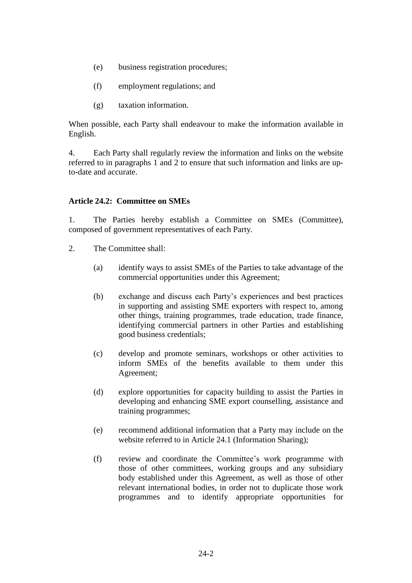- (e) business registration procedures;
- (f) employment regulations; and
- (g) taxation information.

When possible, each Party shall endeavour to make the information available in English.

4. Each Party shall regularly review the information and links on the website referred to in paragraphs 1 and 2 to ensure that such information and links are upto-date and accurate.

## **Article 24.2: Committee on SMEs**

1. The Parties hereby establish a Committee on SMEs (Committee), composed of government representatives of each Party.

- 2. The Committee shall:
	- (a) identify ways to assist SMEs of the Parties to take advantage of the commercial opportunities under this Agreement;
	- (b) exchange and discuss each Party's experiences and best practices in supporting and assisting SME exporters with respect to, among other things, training programmes, trade education, trade finance, identifying commercial partners in other Parties and establishing good business credentials;
	- (c) develop and promote seminars, workshops or other activities to inform SMEs of the benefits available to them under this Agreement;
	- (d) explore opportunities for capacity building to assist the Parties in developing and enhancing SME export counselling, assistance and training programmes;
	- (e) recommend additional information that a Party may include on the website referred to in Article 24.1 (Information Sharing);
	- (f) review and coordinate the Committee's work programme with those of other committees, working groups and any subsidiary body established under this Agreement, as well as those of other relevant international bodies, in order not to duplicate those work programmes and to identify appropriate opportunities for